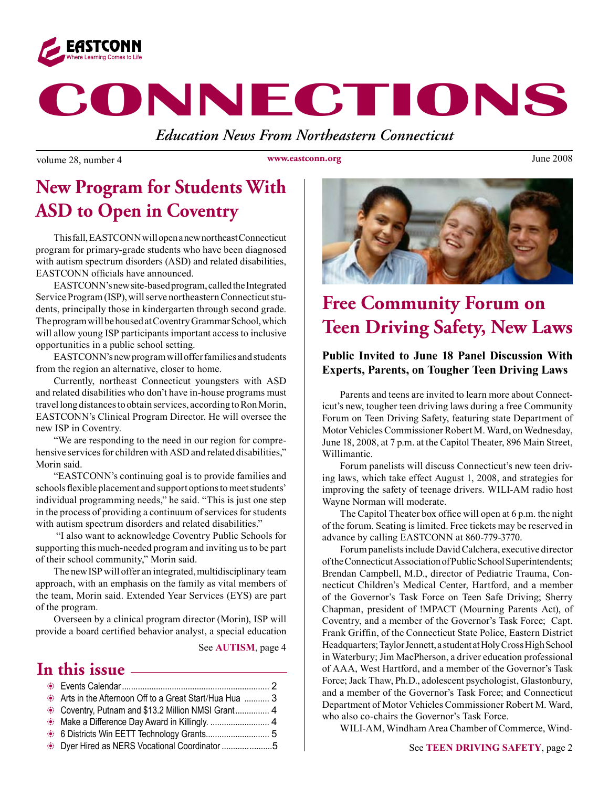

# **CONNECTIONS**

*Education News From Northeastern Connecticut*

volume 28, number 4 volume 29, number 4 volume 2008

**www.eastconn.org**

### **New Program for Students With ASD to Open in Coventry**

This fall, EASTCONN will open a new northeast Connecticut program for primary-grade students who have been diagnosed with autism spectrum disorders (ASD) and related disabilities, EASTCONN officials have announced.

EASTCONN's new site-based program, called the Integrated Service Program (ISP), will serve northeastern Connecticut students, principally those in kindergarten through second grade. The program will be housed at Coventry Grammar School, which will allow young ISP participants important access to inclusive opportunities in a public school setting.

EASTCONN's new program will offer families and students from the region an alternative, closer to home.

Currently, northeast Connecticut youngsters with ASD and related disabilities who don't have in-house programs must travel long distances to obtain services, according to Ron Morin, EASTCONN's Clinical Program Director. He will oversee the new ISP in Coventry.

"We are responding to the need in our region for comprehensive services for children with ASD and related disabilities," Morin said.

"EASTCONN's continuing goal is to provide families and schools fexible placement and support options to meet students' individual programming needs," he said. "This is just one step in the process of providing a continuum of services for students with autism spectrum disorders and related disabilities."

 "I also want to acknowledge Coventry Public Schools for supporting this much-needed program and inviting us to be part of their school community," Morin said.

The new ISP will offer an integrated, multidisciplinary team approach, with an emphasis on the family as vital members of the team, Morin said. Extended Year Services (EYS) are part of the program.

Overseen by a clinical program director (Morin), ISP will provide a board certifed behavior analyst, a special education

See **AUTISM**, page 4

### **In this issue**

| Arts in the Afternoon Off to a Great Start/Hua Hua  3 |  |
|-------------------------------------------------------|--|
| Coventry, Putnam and \$13.2 Million NMSI Grant 4      |  |
|                                                       |  |
|                                                       |  |
| Dyer Hired as NERS Vocational Coordinator 5           |  |



### **Free Community Forum on Teen Driving Safety, New Laws**

### **Public Invited to June 18 Panel Discussion With Experts, Parents, on Tougher Teen Driving Laws**

Parents and teens are invited to learn more about Connecticut's new, tougher teen driving laws during a free Community Forum on Teen Driving Safety, featuring state Department of Motor Vehicles Commissioner Robert M. Ward, on Wednesday, June 18, 2008, at 7 p.m. at the Capitol Theater, 896 Main Street, Willimantic.

Forum panelists will discuss Connecticut's new teen driving laws, which take effect August 1, 2008, and strategies for improving the safety of teenage drivers. WILI-AM radio host Wayne Norman will moderate.

The Capitol Theater box office will open at 6 p.m. the night of the forum. Seating is limited. Free tickets may be reserved in advance by calling EASTCONN at 860-779-3770.

Forum panelists include David Calchera, executive director of the Connecticut Association of Public School Superintendents; Brendan Campbell, M.D., director of Pediatric Trauma, Connecticut Children's Medical Center, Hartford, and a member of the Governor's Task Force on Teen Safe Driving; Sherry Chapman, president of !MPACT (Mourning Parents Act), of Coventry, and a member of the Governor's Task Force; Capt. Frank Griffn, of the Connecticut State Police, Eastern District Headquarters; Taylor Jennett, a student at Holy Cross High School in Waterbury; Jim MacPherson, a driver education professional of AAA, West Hartford, and a member of the Governor's Task Force; Jack Thaw, Ph.D., adolescent psychologist, Glastonbury, and a member of the Governor's Task Force; and Connecticut Department of Motor Vehicles Commissioner Robert M. Ward, who also co-chairs the Governor's Task Force.

WILI-AM, Windham Area Chamber of Commerce, Wind-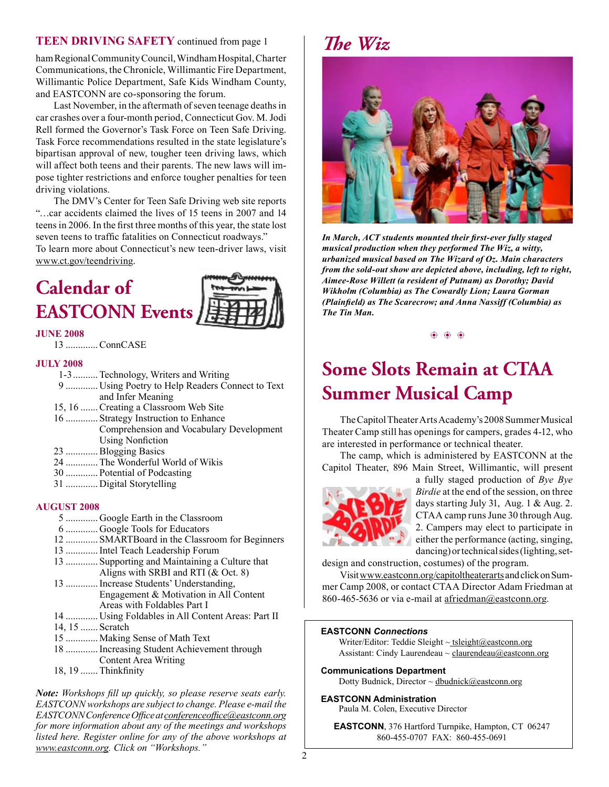#### **TEEN DRIVING SAFETY** continued from page 1

ham Regional Community Council, Windham Hospital, Charter Communications, the Chronicle, Willimantic Fire Department, Willimantic Police Department, Safe Kids Windham County, and EASTCONN are co-sponsoring the forum.

Last November, in the aftermath of seven teenage deaths in car crashes over a four-month period, Connecticut Gov. M. Jodi Rell formed the Governor's Task Force on Teen Safe Driving. Task Force recommendations resulted in the state legislature's bipartisan approval of new, tougher teen driving laws, which will affect both teens and their parents. The new laws will impose tighter restrictions and enforce tougher penalties for teen driving violations.

The DMV's Center for Teen Safe Driving web site reports "…car accidents claimed the lives of 15 teens in 2007 and 14 teens in 2006. In the frst three months of this year, the state lost seven teens to traffic fatalities on Connecticut roadways."

To learn more about Connecticut's new teen-driver laws, visit [www.ct.gov/teendrivin](http://www.ct.gov/teendriving)g.

# **Calendar of EASTCONN Events**



#### **JUNE 2008**

13 .............ConnCASE

#### **JULY 2008**

- 1-3..........Technology, Writers and Writing
- 9 ............. Using Poetry to Help Readers Connect to Text and Infer Meaning
- 15, 16 .......Creating a Classroom Web Site
- 16 ............. Strategy Instruction to Enhance Comprehension and Vocabulary Development
- Using Nonfiction
- 23 .............Blogging Basics
- 24 .............The Wonderful World of Wikis
- 30 ............. Potential of Podcasting
- 31 ............. Digital Storytelling

#### **AUGUST 2008**

- 5 ............. Google Earth in the Classroom 6 ............. Google Tools for Educators 12 ............. SMARTBoard in the Classroom for Beginners 13 .............Intel Teach Leadership Forum 13 ............. Supporting and Maintaining a Culture that Aligns with SRBI and RTI (& Oct. 8) 13 .............Increase Students' Understanding, Engagement & Motivation in All Content Areas with Foldables Part I 14 ............. Using Foldables in All Content Areas: Part II 14, 15 ....... Scratch 15 ............. Making Sense of Math Text 18 .............Increasing Student Achievement through
	- Content Area Writing
- 18, 19 .......Thinkfnity

*Note: Workshops fll up quickly, so please reserve seats early. EASTCONN workshops are subject to change. Please e-mail the EASTCONN Conference Offce at [conferenceoffce@eastconn.org](mailto:conferenceoffice@eastconn.org) for more information about any of the meetings and workshops listed here. Register online for any of the above workshops at <www.eastconn.org>. Click on "Workshops."* <sup>2</sup>





*In March, ACT students mounted their frst-ever fully staged musical production when they performed The Wiz, a witty, urbanized musical based on The Wizard of Oz. Main characters from the sold-out show are depicted above, including, left to right, Aimee-Rose Willett (a resident of Putnam) as Dorothy; David Wikholm (Columbia) as The Cowardly Lion; Laura Gorman (Plainfeld) as The Scarecrow; and Anna Nassiff (Columbia) as The Tin Man.* 

 $\circledast$ 

### **Some Slots Remain at CTAA Summer Musical Camp**

The Capitol Theater Arts Academy's 2008 Summer Musical Theater Camp still has openings for campers, grades 4-12, who are interested in performance or technical theater.

The camp, which is administered by EASTCONN at the Capitol Theater, 896 Main Street, Willimantic, will present



a fully staged production of *Bye Bye Birdie* at the end of the session, on three days starting July 31, Aug. 1 & Aug. 2. CTAA camp runs June 30 through Aug. 2. Campers may elect to participate in either the performance (acting, singing, dancing) or technical sides (lighting, set-

design and construction, costumes) of the program.

Visit www.eastconn.or[g/capitoltheaterarts](http://www.eastconn.org/capitoltheaterarts) and click on Summer Camp 2008, or contact CTAA Director Adam Friedman at 860-465-5636 or via e-mail at afriedman@eastconn.org.

#### **EASTCONN** *Connections*

Writer/Editor: Teddie Sleight  $\sim$  tsleight[@eastconn.or](mailto:tsleight@eastconn.org)g Assistant: Cindy Laurendeau  $\sim$  claurendeau $\omega$ eastconn.org

**[Communications Department](%20mailto:connections@eastconn.org)**

[Dotty Budnick](mailto:dbudnick@eastconn.org), Director  $\sim$  dbudnick@eastconn.org

#### **EASTCONN Administration**

Paula M. Colen, Executive Director

**EASTCONN**, 376 Hartford Turnpike, Hampton, CT 06247 860-455-0707 FAX: 860-455-0691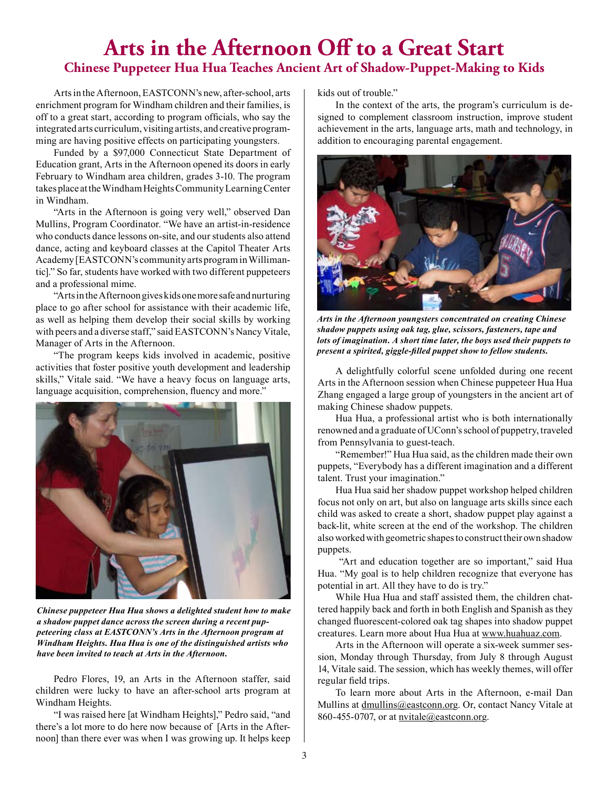### **Arts in the Afternoon Off to a Great Start Chinese Puppeteer Hua Hua Teaches Ancient Art of Shadow-Puppet-Making to Kids**

Arts in the Afternoon, EASTCONN's new, after-school, arts enrichment program for Windham children and their families, is off to a great start, according to program offcials, who say the integrated arts curriculum, visiting artists, and creative programming are having positive effects on participating youngsters.

Funded by a \$97,000 Connecticut State Department of Education grant, Arts in the Afternoon opened its doors in early February to Windham area children, grades 3-10. The program takes place at the Windham Heights Community Learning Center in Windham.

"Arts in the Afternoon is going very well," observed Dan Mullins, Program Coordinator. "We have an artist-in-residence who conducts dance lessons on-site, and our students also attend dance, acting and keyboard classes at the Capitol Theater Arts Academy [EASTCONN's community arts program in Willimantic]." So far, students have worked with two different puppeteers and a professional mime.

"Arts in the Afternoon gives kids one more safe and nurturing place to go after school for assistance with their academic life, as well as helping them develop their social skills by working with peers and a diverse staff," said EASTCONN's Nancy Vitale, Manager of Arts in the Afternoon.

"The program keeps kids involved in academic, positive activities that foster positive youth development and leadership skills," Vitale said. "We have a heavy focus on language arts, language acquisition, comprehension, fuency and more."



*Chinese puppeteer Hua Hua shows a delighted student how to make a shadow puppet dance across the screen during a recent puppeteering class at EASTCONN's Arts in the Afternoon program at Windham Heights. Hua Hua is one of the distinguished artists who have been invited to teach at Arts in the Afternoon.*

Pedro Flores, 19, an Arts in the Afternoon staffer, said children were lucky to have an after-school arts program at Windham Heights.

"I was raised here [at Windham Heights]," Pedro said, "and there's a lot more to do here now because of [Arts in the Afternoon] than there ever was when I was growing up. It helps keep kids out of trouble."

In the context of the arts, the program's curriculum is designed to complement classroom instruction, improve student achievement in the arts, language arts, math and technology, in addition to encouraging parental engagement.



*Arts in the Afternoon youngsters concentrated on creating Chinese shadow puppets using oak tag, glue, scissors, fasteners, tape and lots of imagination. A short time later, the boys used their puppets to present a spirited, giggle-flled puppet show to fellow students.* 

A delightfully colorful scene unfolded during one recent Arts in the Afternoon session when Chinese puppeteer Hua Hua Zhang engaged a large group of youngsters in the ancient art of making Chinese shadow puppets.

Hua Hua, a professional artist who is both internationally renowned and a graduate of UConn's school of puppetry, traveled from Pennsylvania to guest-teach.

"Remember!" Hua Hua said, as the children made their own puppets, "Everybody has a different imagination and a different talent. Trust your imagination."

Hua Hua said her shadow puppet workshop helped children focus not only on art, but also on language arts skills since each child was asked to create a short, shadow puppet play against a back-lit, white screen at the end of the workshop. The children also worked with geometric shapes to construct their own shadow puppets.

 "Art and education together are so important," said Hua Hua. "My goal is to help children recognize that everyone has potential in art. All they have to do is try."

While Hua Hua and staff assisted them, the children chattered happily back and forth in both English and Spanish as they changed fuorescent-colored oak tag shapes into shadow puppet creatures. Learn more about Hua Hua at www.huahuaz.com.

Arts in the Afternoon will operate a six-week summer session, Monday through Thursday, from July 8 through August 14, Vitale said. The session, which has weekly themes, will offer regular feld trips.

To learn more about Arts in the Afternoon, e-mail Dan Mullins at dmullins@eastconn.org. Or, contact Nancy Vitale at 860-455-0707, or at nvitale@eastconn.org.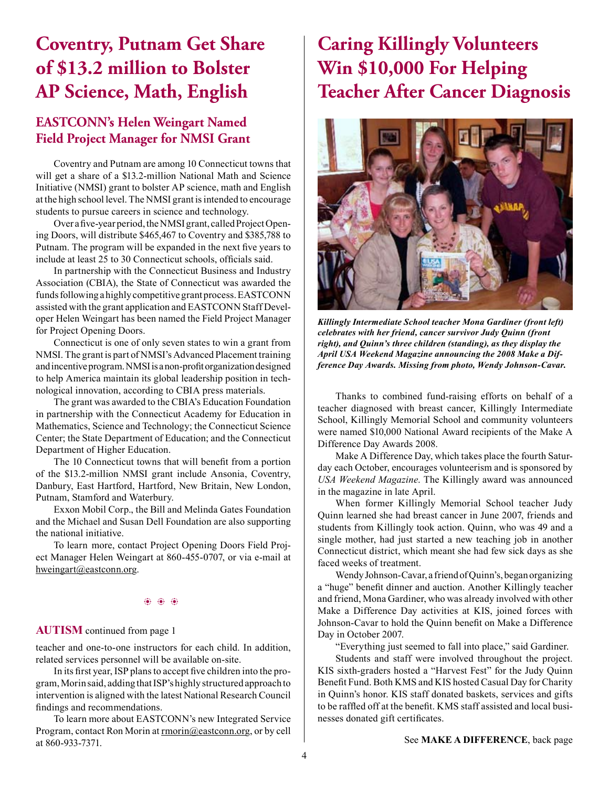### **Coventry, Putnam Get Share of \$13.2 million to Bolster AP Science, Math, English**

### **EASTCONN's Helen Weingart Named Field Project Manager for NMSI Grant**

Coventry and Putnam are among 10 Connecticut towns that will get a share of a \$13.2-million National Math and Science Initiative (NMSI) grant to bolster AP science, math and English at the high school level. The NMSI grant is intended to encourage students to pursue careers in science and technology.

Over a five-year period, the NMSI grant, called Project Opening Doors, will distribute \$465,467 to Coventry and \$385,788 to Putnam. The program will be expanded in the next five years to include at least 25 to 30 Connecticut schools, officials said.

In partnership with the Connecticut Business and Industry Association (CBIA), the State of Connecticut was awarded the funds following a highly competitive grant process. EASTCONN assisted with the grant application and EASTCONN Staff Developer Helen Weingart has been named the Field Project Manager for Project Opening Doors.

Connecticut is one of only seven states to win a grant from NMSI. The grant is part of NMSI's Advanced Placement training and incentive program. NMSI is a non-proft organization designed to help America maintain its global leadership position in technological innovation, according to CBIA press materials.

The grant was awarded to the CBIA's Education Foundation in partnership with the Connecticut Academy for Education in Mathematics, Science and Technology; the Connecticut Science Center; the State Department of Education; and the Connecticut Department of Higher Education.

The 10 Connecticut towns that will beneft from a portion of the \$13.2-million NMSI grant include Ansonia, Coventry, Danbury, East Hartford, Hartford, New Britain, New London, Putnam, Stamford and Waterbury.

Exxon Mobil Corp., the Bill and Melinda Gates Foundation and the Michael and Susan Dell Foundation are also supporting the national initiative.

To learn more, contact Project Opening Doors Field Project Manager Helen Weingart at 860-455-0707, or via e-mail at hweingart@eastconn.org.

#### $\circledast$   $\circledast$   $\circledast$

#### **AUTISM** continued from page 1

teacher and one-to-one instructors for each child. In addition, related services personnel will be available on-site.

In its frst year, ISP plans to accept fve children into the program, Morin said, adding that ISP's highly structured approach to intervention is aligned with the latest National Research Council fndings and recommendations.

To learn more about EASTCONN's new Integrated Service Program, contact Ron Morin at **rmorin@eastconn.org**, or by cell at 860-933-7371.

# **Caring Killingly Volunteers Win \$10,000 For Helping Teacher After Cancer Diagnosis**



*Killingly Intermediate School teacher Mona Gardiner (front left) celebrates with her friend, cancer survivor Judy Quinn (front right), and Quinn's three children (standing), as they display the April USA Weekend Magazine announcing the 2008 Make a Difference Day Awards. Missing from photo, Wendy Johnson-Cavar.* 

Thanks to combined fund-raising efforts on behalf of a teacher diagnosed with breast cancer, Killingly Intermediate School, Killingly Memorial School and community volunteers were named \$10,000 National Award recipients of the Make A Difference Day Awards 2008.

Make A Difference Day, which takes place the fourth Saturday each October, encourages volunteerism and is sponsored by *USA Weekend Magazine*. The Killingly award was announced in the magazine in late April.

When former Killingly Memorial School teacher Judy Quinn learned she had breast cancer in June 2007, friends and students from Killingly took action. Quinn, who was 49 and a single mother, had just started a new teaching job in another Connecticut district, which meant she had few sick days as she faced weeks of treatment.

Wendy Johnson-Cavar, a friend of Quinn's, began organizing a "huge" beneft dinner and auction. Another Killingly teacher and friend, Mona Gardiner, who was already involved with other Make a Difference Day activities at KIS, joined forces with Johnson-Cavar to hold the Quinn beneft on Make a Difference Day in October 2007.

"Everything just seemed to fall into place," said Gardiner.

Students and staff were involved throughout the project. KIS sixth-graders hosted a "Harvest Fest" for the Judy Quinn Beneft Fund. Both KMS and KIS hosted Casual Day for Charity in Quinn's honor. KIS staff donated baskets, services and gifts to be raffed off at the beneft. KMS staff assisted and local businesses donated gift certifcates.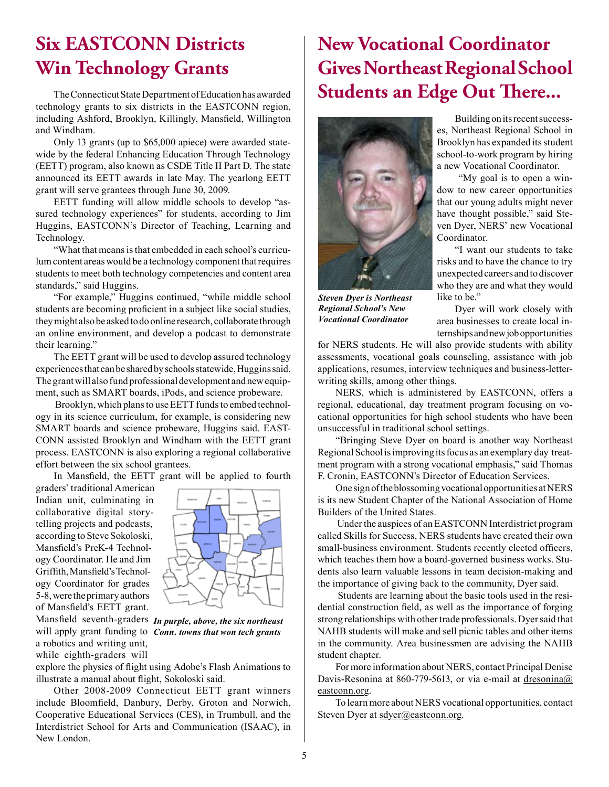### **Six EASTCONN Districts Win Technology Grants**

The Connecticut State Department of Education has awarded technology grants to six districts in the EASTCONN region, including Ashford, Brooklyn, Killingly, Mansfeld, Willington and Windham.

Only 13 grants (up to \$65,000 apiece) were awarded statewide by the federal Enhancing Education Through Technology (EETT) program, also known as CSDE Title II Part D. The state announced its EETT awards in late May. The yearlong EETT grant will serve grantees through June 30, 2009.

EETT funding will allow middle schools to develop "assured technology experiences" for students, according to Jim Huggins, EASTCONN's Director of Teaching, Learning and Technology.

"What that means is that embedded in each school's curriculum content areas would be a technology component that requires students to meet both technology competencies and content area standards," said Huggins.

"For example," Huggins continued, "while middle school students are becoming proficient in a subject like social studies, they might also be asked to do online research, collaborate through an online environment, and develop a podcast to demonstrate their learning."

The EETT grant will be used to develop assured technology experiences that can be shared by schools statewide, Huggins said. The grant will also fund professional development and new equipment, such as SMART boards, iPods, and science probeware.

 Brooklyn, which plans to use EETT funds to embed technology in its science curriculum, for example, is considering new SMART boards and science probeware, Huggins said. EAST-CONN assisted Brooklyn and Windham with the EETT grant process. EASTCONN is also exploring a regional collaborative effort between the six school grantees.

In Mansfeld, the EETT grant will be applied to fourth

graders' traditional American Indian unit, culminating in collaborative digital storytelling projects and podcasts, according to Steve Sokoloski, Mansfeld's PreK-4 Technology Coordinator. He and Jim Griffth, Mansfeld's Technology Coordinator for grades 5-8, were the primary authors of Mansfeld's EETT grant.

a robotics and writing unit, while eighth-graders will



Mansfeld seventh-graders *In purple, above, the six northeast*  will apply grant funding to *Conn. towns that won tech grants*

explore the physics of fight using Adobe's Flash Animations to illustrate a manual about fight, Sokoloski said.

Other 2008-2009 Connecticut EETT grant winners include Bloomfeld, Danbury, Derby, Groton and Norwich, Cooperative Educational Services (CES), in Trumbull, and the Interdistrict School for Arts and Communication (ISAAC), in New London.

# **New Vocational Coordinator Gives Northeast Regional School Students an Edge Out There...**



*Steven Dyer is Northeast Regional School's New Vocational Coordinator*

Building on its recent successes, Northeast Regional School in Brooklyn has expanded its student school-to-work program by hiring a new Vocational Coordinator.

 "My goal is to open a window to new career opportunities that our young adults might never have thought possible," said Steven Dyer, NERS' new Vocational Coordinator.

"I want our students to take risks and to have the chance to try unexpected careers and to discover who they are and what they would like to be."

Dyer will work closely with area businesses to create local internships and new job opportunities

for NERS students. He will also provide students with ability assessments, vocational goals counseling, assistance with job applications, resumes, interview techniques and business-letterwriting skills, among other things.

NERS, which is administered by EASTCONN, offers a regional, educational, day treatment program focusing on vocational opportunities for high school students who have been unsuccessful in traditional school settings.

"Bringing Steve Dyer on board is another way Northeast Regional School is improving its focus as an exemplary day treatment program with a strong vocational emphasis," said Thomas F. Cronin, EASTCONN's Director of Education Services.

One sign of the blossoming vocational opportunities at NERS is its new Student Chapter of the National Association of Home Builders of the United States.

 Under the auspices of an EASTCONN Interdistrict program called Skills for Success, NERS students have created their own small-business environment. Students recently elected officers, which teaches them how a board-governed business works. Students also learn valuable lessons in team decision-making and the importance of giving back to the community, Dyer said.

 Students are learning about the basic tools used in the residential construction feld, as well as the importance of forging strong relationships with other trade professionals. Dyer said that NAHB students will make and sell picnic tables and other items in the community. Area businessmen are advising the NAHB student chapter.

For more information about NERS, contact Principal Denise Davis-Resonina at 860-779-5613, or via e-mail at [dresonina@](mailto:ddavis@eastconn.org) [eastconn.or](mailto:ddavis@eastconn.org)g.

To learn more about NERS vocational opportunities, contact Steven Dyer at [sdyer@eastconn.or](mailto:sdyer@eastconn.org)g.